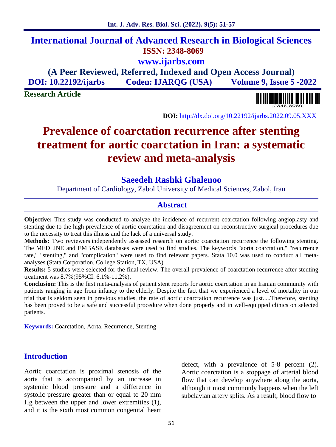## **International Journal of Advanced Research in Biological Sciences ISSN: 2348-8069 www.ijarbs.com**

**(A Peer Reviewed, Referred, Indexed and Open Access Journal) DOI: 10.22192/ijarbs Coden: IJARQG (USA) Volume 9, Issue 5 -2022**

**Research Article**

**DOI:** http://dx.doi.org/10.22192/ijarbs.2022.09.05.XXX

# **Prevalence of coarctation recurrence after stenting treatment for aortic coarctation in Iran: a systematic review and meta-analysis**

## **Saeedeh Rashki Ghalenoo**

Department of Cardiology, Zabol University of Medical Sciences, Zabol, Iran

## **Abstract**

**Objective:** This study was conducted to analyze the incidence of recurrent coarctation following angioplasty and stenting due to the high prevalence of aortic coarctation and disagreement on reconstructive surgical procedures due to the necessity to treat this illness and the lack of a universal study.

**Methods:** Two reviewers independently assessed research on aortic coarctation recurrence the following stenting. The MEDLINE and EMBASE databases were used to find studies. The keywords "aorta coarctation," "recurrence rate," "stenting," and "complication" were used to find relevant papers. Stata 10.0 was used to conduct all meta analyses (Stata Corporation, College Station, TX, USA).

**Results:** 5 studies were selected for the final review. The overall prevalence of coarctation recurrence after stenting treatment was 8.7%(95%CI: 6.1%-11.2%).

**Conclusion:** This is the first meta-analysis of patient stent reports for aortic coarctation in an Iranian community with patients ranging in age from infancy to the elderly. Despite the fact that we experienced a level of mortality in our trial that is seldom seen in previous studies, the rate of aortic coarctation recurrence was just.....Therefore, stenting has been proved to be a safe and successful procedure when done properly and in well-equipped clinics on selected patients.

**Keywords:** Coarctation, Aorta, Recurrence, Stenting

## **Introduction**

Aortic coarctation is proximal stenosis of the aorta that is accompanied by an increase in systemic blood pressure and a difference in systolic pressure greater than or equal to 20 mm Hg between the upper and lower extremities (1), and it is the sixth most common congenital heart

defect, with a prevalence of 5-8 percent (2). Aortic coarctation is a stoppage of arterial blood flow that can develop anywhere along the aorta, although it most commonly happens when the left subclavian artery splits. As a result, blood flow to

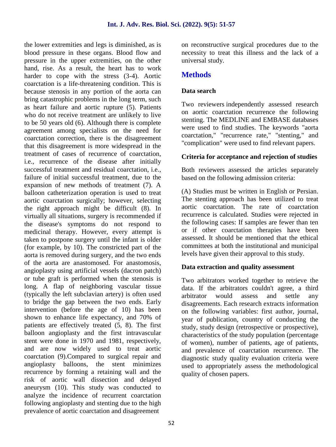the lower extremities and legs is diminished, as is blood pressure in these organs. Blood flow and pressure in the upper extremities, on the other hand, rise. As a result, the heart has to work harder to cope with the stress (3-4). Aortic coarctation is a life-threatening condition. This is because stenosis in any portion of the aorta can bring catastrophic problems in the long term, such as heart failure and aortic rupture (5). Patients who do not receive treatment are unlikely to live to be 50 years old (6). Although there is complete agreement among specialists on the need for coarctation correction, there is the disagreement that this disagreement is more widespread in the treatment of cases of recurrence of coarctation, i.e., recurrence of the disease after initially successful treatment and residual coarctation, i.e., failure of initial successful treatment, due to the expansion of new methods of treatment (7). A balloon catheterization operation is used to treat aortic coarctation surgically; however, selecting the right approach might be difficult (8). In virtually all situations, surgery is recommended if the disease's symptoms do not respond to medicinal therapy. However, every attempt is taken to postpone surgery until the infant is older (for example, by 10). The constricted part of the aorta is removed during surgery, and the two ends of the aorta are anastomosed. For anastomosis, angioplasty using artificial vessels (dacron patch) or tube graft is performed when the stenosis is long. A flap of neighboring vascular tissue (typically the left subclavian artery) is often used to bridge the gap between the two ends. Early intervention (before the age of 10) has been shown to enhance life expectancy, and 70% of patients are effectively treated (5, 8). The first balloon angioplasty and the first intravascular stent were done in 1970 and 1981, respectively, and are now widely used to treat aortic coarctation (9).Compared to surgical repair and angioplasty balloons, the stent minimizes recurrence by forming a retaining wall and the risk of aortic wall dissection and delayed aneurysm (10). This study was conducted to analyze the incidence of recurrent coarctation following angioplasty and stenting due to the high prevalence of aortic coarctation and disagreement

on reconstructive surgical procedures due to the necessity to treat this illness and the lack of a universal study.

## **Methods**

## **Data search**

Two reviewers independently assessed research on aortic coarctation recurrence the following stenting. The MEDLINE and EMBASE databases were used to find studies. The keywords "aorta coarctation," "recurrence rate," "stenting," and "complication" were used to find relevant papers.

## **Criteria for acceptance and rejection of studies**

Both reviewers assessed the articles separately based on the following admission criteria:

(A) Studies must be written in English or Persian. The stenting approach has been utilized to treat aortic coarctation. The rate of coarctation recurrence is calculated. Studies were rejected in the following cases: If samples are fewer than ten or if other coarctation therapies have been assessed. It should be mentioned that the ethical committees at both the institutional and municipal levels have given their approval to this study.

## **Data extraction and quality assessment**

Two arbitrators worked together to retrieve the data. If the arbitrators couldn't agree, a third arbitrator would assess and settle any disagreements. Each research extracts information on the following variables: first author, journal, year of publication, country of conducting the study, study design (retrospective or prospective), characteristics of the study population (percentage of women), number of patients, age of patients, and prevalence of coarctation recurrence. The diagnostic study quality evaluation criteria were used to appropriately assess the methodological quality of chosen papers.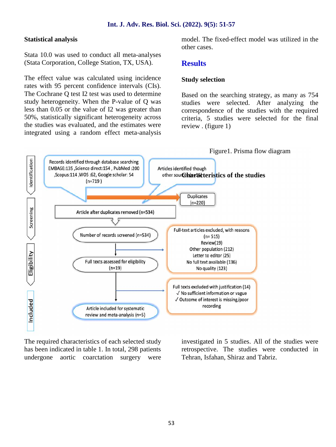#### **Int. J. Adv. Res. Biol. Sci. (2022). 9(5): 51-57**

#### **Statistical analysis**

Stata 10.0 was used to conduct all meta-analyses (Stata Corporation, College Station, TX, USA).

The effect value was calculated using incidence rates with 95 percent confidence intervals (CIs). The Cochrane Q test I2 test was used to determine study heterogeneity. When the P-value of Q was less than 0.05 or the value of I2 was greater than 50%, statistically significant heterogeneity across the studies was evaluated, and the estimates were integrated using a random effect meta-analysis model. The fixed-effect model was utilized in the other cases.

## **Results**

#### **Study selection**

Based on the searching strategy, as many as 754 studies were selected. After analyzing the correspondence of the studies with the required criteria, 5 studies were selected for the final review . (figure 1)



The required characteristics of each selected study has been indicated in table 1. In total, 298 patients undergone aortic coarctation surgery were investigated in 5 studies. All of the studies were retrospective. The studies were conducted in Tehran, Isfahan, Shiraz and Tabriz.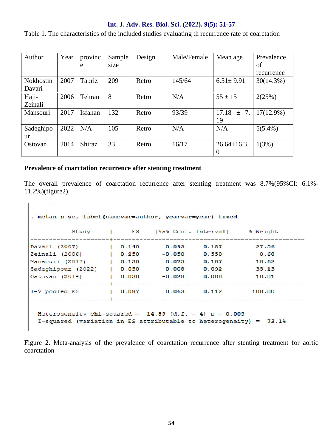#### **Int. J. Adv. Res. Biol. Sci. (2022). 9(5): 51-57**

Table 1. The characteristics of the included studies evaluating th recurrence rate of coarctation

| Author           | Year | provinc       | Sample | Design | Male/Female | Mean age         | Prevalence   |
|------------------|------|---------------|--------|--------|-------------|------------------|--------------|
|                  |      | e             | size   |        |             |                  | of           |
|                  |      |               |        |        |             |                  | recurrence   |
| <b>Nokhostin</b> | 2007 | Tabriz        | 209    | Retro  | 145/64      | $6.51 \pm 9.91$  | 30(14.3%)    |
| Davari           |      |               |        |        |             |                  |              |
| Haji-            | 2006 | Tehran        | 8      | Retro  | N/A         | $55 \pm 15$      | 2(25%)       |
| Zeinali          |      |               |        |        |             |                  |              |
| Mansouri         | 2017 | Isfahan       | 132    | Retro  | 93/39       | $17.18 \pm 7.$   | $17(12.9\%)$ |
|                  |      |               |        |        |             | 19               |              |
| Sadeghipo        | 2022 | N/A           | 105    | Retro  | N/A         | N/A              | $5(5.4\%)$   |
| ur               |      |               |        |        |             |                  |              |
| Ostovan          | 2014 | <b>Shiraz</b> | 33     | Retro  | 16/17       | $26.64 \pm 16.3$ | 1(3%)        |
|                  |      |               |        |        |             | $\theta$         |              |

#### **Prevalence of coarctation recurrence after stenting treatment**

The overall prevalence of coarctation recurrence after stenting treatment was 8.7%(95%CI: 6.1%- 11.2%)(figure2).

```
. metan p se, label (namevar=author, yearvar=year) fixed
                         [95% Conf. Interval] % Weight
        Study | ES
    يكافئ والمتواطأ والمتواطئ والمرابية والمرابط المرابط والمتواطئ والمرابية والمتواطئ والمرابية
                | 0.140Davari (2007)
                           0.0930.187
                                               27.56Zeinali (2006)
               | 0.250-0.0500.5500.68Mansouri (2017) | 0.130<br>Sadeghipour (2022) | 0.050
Mansouri (2017)
                           0.0730.18718.62
                           0.0080.09235.13Ostovan (2014)
            | 0.030-0.0280.088
                                               18.01
I-V pooled ES
                | 0.0870.0630.112100.00
 Heterogeneity chi-squared = 14.89 (d.f. = 4) p = 0.005I-squared (variation in ES attributable to heterogeneity) = 73.1%
```
Figure 2. Meta-analysis of the prevalence of coarctation recurrence after stenting treatment for aortic coarctation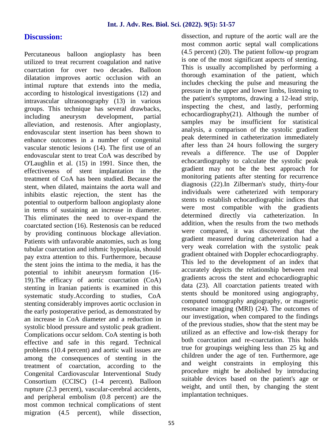## **Discussion:**

Percutaneous balloon angioplasty has been utilized to treat recurrent coagulation and native coarctation for over two decades. Balloon dilatation improves aortic occlusion with an intimal rupture that extends into the media, according to histological investigations (12) and intravascular ultrasonography (13) in various groups. This technique has several drawbacks, including aneurysm development, partial alleviation, and restenosis. After angioplasty, endovascular stent insertion has been shown to enhance outcomes in a number of congenital vascular stenotic lesions (14). The first use of an endovascular stent to treat CoA was described by O'Laughlin et al. (15) in 1991. Since then, the effectiveness of stent implantation in the treatment of CoA has been studied. Because the stent, when dilated, maintains the aorta wall and inhibits elastic rejection, the stent has the potential to outperform balloon angioplasty alone in terms of sustaining an increase in diameter. This eliminates the need to over-expand the coarctated section (16). Restenosis can be reduced by providing continuous blockage alleviation. Patients with unfavorable anatomies, such as long tubular coarctation and isthmic hypoplasia, should pay extra attention to this. Furthermore, because the stent joins the intima to the media, it has the potential to inhibit aneurysm formation (16- 19).The efficacy of aortic coarctation (CoA) stenting in Iranian patients is examined in this systematic study.According to studies, CoA stenting considerably improves aortic occlusion in the early postoperative period, as demonstrated by an increase in CoA diameter and a reduction in systolic blood pressure and systolic peak gradient. Complications occur seldom. CoA stenting is both effective and safe in this regard. Technical problems (10.4 percent) and aortic wall issues are among the consequences of stenting in the treatment of coarctation, according to the Congenital Cardiovascular Interventional Study Consortium (CCISC) (1-4 percent). Balloon rupture (2.3 percent), vascular-cerebral accidents, and peripheral embolism (0.8 percent) are the most common technical complications of stent migration (4.5 percent), while dissection,

dissection, and rupture of the aortic wall are the most common aortic septal wall complications (4.5 percent) (20). The patient follow-up program is one of the most significant aspects of stenting. This is usually accomplished by performing a thorough examination of the patient, which includes checking the pulse and measuring the pressure in the upper and lower limbs, listening to the patient's symptoms, drawing a 12-lead strip, inspecting the chest, and lastly, performing echocardiography(21). Although the number of samples may be insufficient for statistical analysis, a comparison of the systolic gradient peak determined in catheterization immediately after less than 24 hours following the surgery reveals a difference. The use of Doppler echocardiography to calculate the systolic peak gradient may not be the best approach for monitoring patients after stenting for recurrence diagnosis (22).In Zilberman's study, thirty-four individuals were catheterized with temporary stents to establish echocardiographic indices that were most compatible with the gradients determined directly via catheterization. In addition, when the results from the two methods were compared, it was discovered that the gradient measured during catheterization had a very weak correlation with the systolic peak gradient obtained with Doppler echocardiography. This led to the development of an index that accurately depicts the relationship between real gradients across the stent and echocardiographic data (23). All coarctation patients treated with stents should be monitored using angiography, computed tomography angiography, or magnetic resonance imaging (MRI) (24). The outcomes of our investigation, when compared to the findings of the previous studies, show that the stent may be utilized as an effective and low-risk therapy for both coarctation and re-coarctation. This holds true for groupings weighing less than 25 kg and children under the age of ten. Furthermore, age and weight constraints in employing this procedure might be abolished by introducing suitable devices based on the patient's age or weight, and until then, by changing the stent implantation techniques.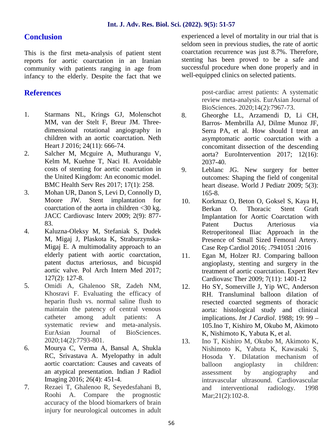## **Conclusion**

This is the first meta-analysis of patient stent reports for aortic coarctation in an Iranian community with patients ranging in age from infancy to the elderly. Despite the fact that we

## **References**

- 1. Starmans NL, Krings GJ, Molenschot MM, van der Stelt F, Breur JM. Three dimensional rotational angiography in children with an aortic coarctation. Neth Heart J 2016; 24(11): 666-74.
- 2. Salcher M, Mcguire A, Muthurangu V, Kelm M, Kuehne T, Naci H. Avoidable costs of stenting for aortic coarctation in the United Kingdom: An economic model. BMC Health Serv Res 2017; 17(1): 258.
- 3. Mohan UR, Danon S, Levi D, Connolly D, Moore JW. Stent implantation for coarctation of the aorta in children <30 kg. JACC Cardiovasc Interv 2009; 2(9): 877- 83.
- 4. Kaluzna-Oleksy M, Stefaniak S, Dudek M, Migaj J, Plaskota K, Straburzynska- Migaj E. A multimodality approach to an elderly patient with aortic coarctation, patent ductus arteriosus, and bicuspid aortic valve. Pol Arch Intern Med 2017; 127(2): 127-8.
- 5. Omidi A, Ghalenoo SR, Zadeh NM, Khosravi F. Evaluating the efficacy of heparin flush vs. normal saline flush to maintain the patency of central venous catheter among adult patients: A systematic review and meta-analysis. EurAsian Journal of BioSciences. 2020;14(2):7793-801.
- 6. Mourya C, Verma A, Bansal A, Shukla RC, Srivastava A. Myelopathy in adult aortic coarctation: Causes and caveats of an atypical presentation. Indian J Radiol Imaging 2016; 26(4): 451-4.
- 7. Rezaei T, Ghalenoo R, Seyedesfahani B, Roohi A. Compare the prognostic accuracy of the blood biomarkers of brain injury for neurological outcomes in adult

experienced a level of mortality in our trial that is seldom seen in previous studies, the rate of aortic coarctation recurrence was just 8.7%. Therefore, stenting has been proved to be a safe and successful procedure when done properly and in well-equipped clinics on selected patients.

> post-cardiac arrest patients: A systematic review meta-analysis. EurAsian Journal of BioSciences. 2020;14(2):7967-73.

- 8. Gheorghe LL, Arzamendi D, Li CH, Barros- Membrilla AJ, Dilme Munoz JF, Serra PA, et al. How should I treat an asymptomatic aortic coarctation with a concomitant dissection of the descending aorta? EuroIntervention 2017; 12(16): 2037-40.
- Leblanc JG. New surgery for better outcomes: Shaping the field of congenital heart disease. World J Pediatr 2009; 5(3): 165-8.
- 10. Korkmaz O, Beton O, Goksel S, Kaya H, Berkan O. Thoracic Stent Graft Implantation for Aortic Coarctation with Patent Ductus Arteriosus via Retroperitoneal Iliac Approach in the Presence of Small Sized Femoral Artery. Case Rep Cardiol 2016; .7941051 :2016
- 11. Egan M, Holzer RJ. Comparing balloon angioplasty, stenting and surgery in the treatment of aortic coarctation. Expert Rev Cardiovasc Ther 2009; 7(11): 1401-12
- 12. Ho SY, Somerville J, Yip WC, Anderson RH. Transluminal balloon dilation of resected coarcted segments of thoracic aorta: histological study and clinical implications. *Int J Cardiol*. 1988; 19: 99 – 105.Ino T, Kishiro M, Okubo M, Akimoto K, Nishimoto K, Yabuta K, et al.
- 13. Ino T, Kishiro M, Okubo M, Akimoto K, Nishimoto K, Yabuta K, Kawasaki S, Hosoda Y. Dilatation mechanism of balloon angioplasty in children: assessment by angiography and intravascular ultrasound. Cardiovascular and interventional radiology. 1998 Mar; 21(2): 102-8.